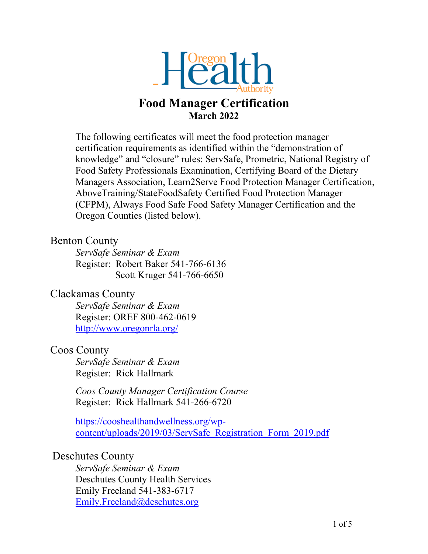

# **Food Manager Certification March 2022**

The following certificates will meet the food protection manager certification requirements as identified within the "demonstration of knowledge" and "closure" rules: ServSafe, Prometric, National Registry of Food Safety Professionals Examination, Certifying Board of the Dietary Managers Association, Learn2Serve Food Protection Manager Certification, AboveTraining/StateFoodSafety Certified Food Protection Manager (CFPM), Always Food Safe Food Safety Manager Certification and the Oregon Counties (listed below).

#### Benton County

*ServSafe Seminar & Exam* Register: Robert Baker 541-766-6136 Scott Kruger 541-766-6650

## Clackamas County

*ServSafe Seminar & Exam* Register: OREF 800-462-0619 <http://www.oregonrla.org/>

#### Coos County

*ServSafe Seminar & Exam* Register: Rick Hallmark

*Coos County Manager Certification Course* Register: Rick Hallmark 541-266-6720

[https://cooshealthandwellness.org/wp](https://urldefense.proofpoint.com/v2/url?u=https-3A__cooshealthandwellness.org_wp-2Dcontent_uploads_2019_03_ServSafe-5FRegistration-5FForm-5F2019.pdf&d=DwMFAg&c=7gilq_oJKU2hnacFUWFTuYqjMQ111TRstgx6WoATdXo&r=zOteTaBXIKBwuQyhrR3yeitvyeFwR1r9KuFtewEl7jjJOYVM1P_CMbsS_mx36AsE&m=TeznG76FjL2iwdRU3DqIS24dkq6ehLT_OwaIAWEyf2c&s=SZp9TuTQf3YUPNiGJJx0OzarJL4T0VxEVdWGmldgX6c&e=)[content/uploads/2019/03/ServSafe\\_Registration\\_Form\\_2019.pdf](https://urldefense.proofpoint.com/v2/url?u=https-3A__cooshealthandwellness.org_wp-2Dcontent_uploads_2019_03_ServSafe-5FRegistration-5FForm-5F2019.pdf&d=DwMFAg&c=7gilq_oJKU2hnacFUWFTuYqjMQ111TRstgx6WoATdXo&r=zOteTaBXIKBwuQyhrR3yeitvyeFwR1r9KuFtewEl7jjJOYVM1P_CMbsS_mx36AsE&m=TeznG76FjL2iwdRU3DqIS24dkq6ehLT_OwaIAWEyf2c&s=SZp9TuTQf3YUPNiGJJx0OzarJL4T0VxEVdWGmldgX6c&e=)

#### Deschutes County

*ServSafe Seminar & Exam* Deschutes County Health Services Emily Freeland 541-383-6717 [Emily.Freeland@deschutes.org](mailto:Emily.Freeland@deschutes.org)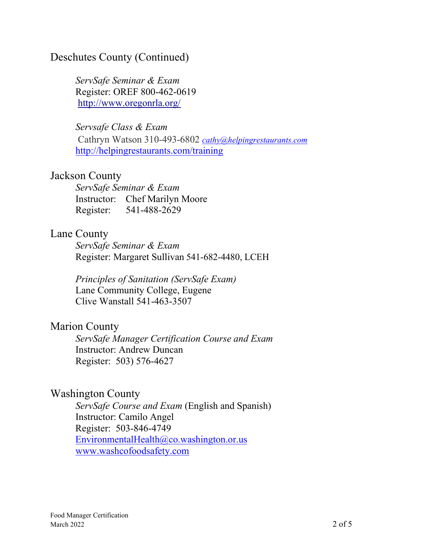# Deschutes County (Continued)

*ServSafe Seminar & Exam* Register: OREF 800-462-0619 <http://www.oregonrla.org/>

*Servsafe Class & Exam* Cathryn Watson 310-493-6802 *[cathy@helpingrestaurants.com](mailto:cathy@helpingrestaurants.com)* <http://helpingrestaurants.com/training>

#### Jackson County

*ServSafe Seminar & Exam* Instructor: Chef Marilyn Moore Register: 541-488-2629

#### Lane County

*ServSafe Seminar & Exam* Register: Margaret Sullivan 541-682-4480, LCEH

*Principles of Sanitation (ServSafe Exam)* Lane Community College, Eugene Clive Wanstall 541-463-3507

## Marion County

*ServSafe Manager Certification Course and Exam* Instructor: Andrew Duncan Register: 503) 576-4627

## Washington County

*ServSafe Course and Exam* (English and Spanish) Instructor: Camilo Angel Register: 503-846-4749 [EnvironmentalHealth@co.washington.or.us](mailto:EnvironmentalHealth@co.washington.or.us) [www.washcofoodsafety.com](https://urldefense.com/v3/__http:/www.washcofoodsafety.com__;!!OxGzbBZ6!NAiy97M6bAX6Xl9FmLQP_qS5IIaUm6jDPcMcZklKX6yUZKDopY9osZWiN62A8PvFwWyv41gf_-V2$)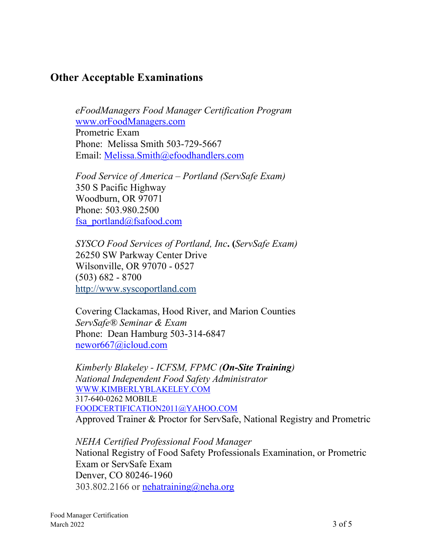# **Other Acceptable Examinations**

*eFoodManagers Food Manager Certification Program* [www.orFoodManagers.com](https://urldefense.proofpoint.com/v2/url?u=http-3A__www.orFoodManagers.com&d=DwMFaQ&c=7gilq_oJKU2hnacFUWFTuYqjMQ111TRstgx6WoATdXo&r=zOteTaBXIKBwuQyhrR3yeitvyeFwR1r9KuFtewEl7jjJOYVM1P_CMbsS_mx36AsE&m=T5r_PAkFsv08CcVwXITK-gqLtOtTqWRn04R7_8tZO8Y&s=E0qP7nhfLj8up_v2kbMO8s1EF5WdAgxcT7veP0LdgrE&e=) Prometric Exam Phone: Melissa Smith 503-729-5667 Email: [Melissa.Smith@efoodhandlers.com](mailto:Melissa.Smith@efoodhandlers.com)

*Food Service of America – Portland (ServSafe Exam)* 350 S Pacific Highway Woodburn, OR 97071 Phone: 503.980.2500 [fsa\\_portland@fsafood.com](mailto:fsa_portland@fsafood.com)

*SYSCO Food Services of Portland, Inc***. (***ServSafe Exam)* 26250 SW Parkway Center Drive Wilsonville, OR 97070 - 0527 (503) 682 - 8700 [http://www.syscoportland.com](javascript:content_window()

Covering Clackamas, Hood River, and Marion Counties *ServSafe® Seminar & Exam* Phone: Dean Hamburg 503-314-6847 [newor667@icloud.com](mailto:newor667@icloud.com)

*Kimberly Blakeley - ICFSM, FPMC (On-Site Training) National Independent Food Safety Administrator* [WWW.KIMBERLYBLAKELEY.COM](http://www.kimberlyblakeley.com/) 317-640-0262 MOBILE [FOODCERTIFICATION2011@YAHOO.COM](mailto:FOODCERTIFICATION2011@YAHOO.COM) Approved Trainer & Proctor for ServSafe, National Registry and Prometric

*NEHA Certified Professional Food Manager* National Registry of Food Safety Professionals Examination, or Prometric Exam or ServSafe Exam Denver, CO 80246-1960  $303.802.2166$  or [nehatraining@neha.org](mailto:nehatraining@neha.org)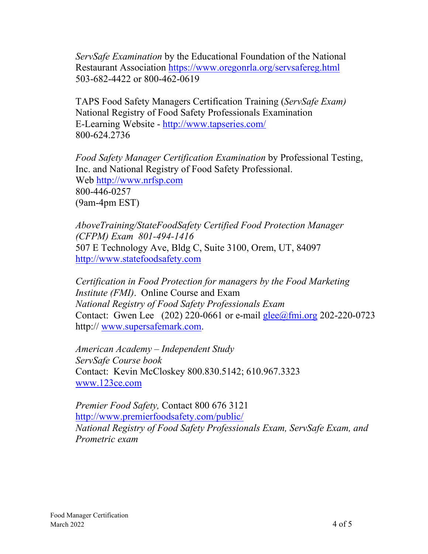*ServSafe Examination* by the Educational Foundation of the National Restaurant Association<https://www.oregonrla.org/servsafereg.html> 503-682-4422 or 800-462-0619

TAPS Food Safety Managers Certification Training (*ServSafe Exam)* National Registry of Food Safety Professionals Examination E-Learning Website - <http://www.tapseries.com/> 800-624.2736

*Food Safety Manager Certification Examination* by Professional Testing, Inc. and National Registry of Food Safety Professional. Web [http://www.nrfsp.com](http://www.nrfsp.com/) 800-446-0257 (9am-4pm EST)

*AboveTraining/StateFoodSafety Certified Food Protection Manager (CFPM) Exam 801-494-1416* 507 E Technology Ave, Bldg C, Suite 3100, Orem, UT, 84097 [http://www.statefoodsafety.com](http://www.statefoodsafety.com/)

*Certification in Food Protection for managers by the Food Marketing Institute (FMI)*. Online Course and Exam *National Registry of Food Safety Professionals Exam* Contact: Gwen Lee  $(202)$  220-0661 or e-mail glee $\omega$ fmi.org 202-220-0723 http:// [www.supersafemark.com.](http://www.supersafemark.com/)

*American Academy – Independent Study ServSafe Course book* Contact: Kevin McCloskey 800.830.5142; 610.967.3323 [www.123ce.com](http://www.123ce.com/)

*Premier Food Safety,* Contact 800 676 3121 <http://www.premierfoodsafety.com/public/> *National Registry of Food Safety Professionals Exam, ServSafe Exam, and Prometric exam*